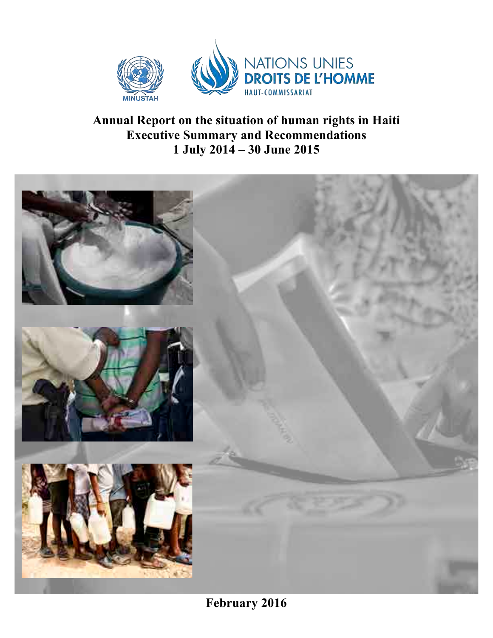

 **Annual Report on the situation of human rights in Haiti Executive Summary and Recommendations 1 July 2014 – 30 June 2015**



 **February 2016**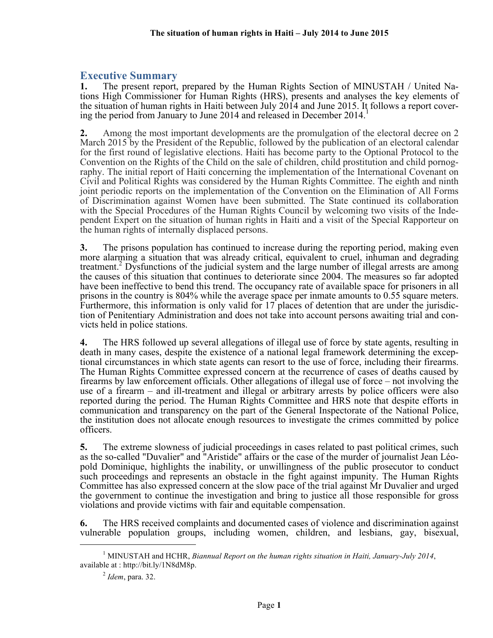## **Executive Summary**

 **1.** The present report, prepared by the Human Rights Section of MINUSTAH / United Na- tions High Commissioner for Human Rights (HRS), presents and analyses the key elements of the situation of human rights in Haiti between July 2014 and June 2015. It follows a report cover-<br>ing the period from January to June 2014 and released in December 2014.<sup>1</sup>

 **2.** Among the most important developments are the promulgation of the electoral decree on 2 raphy. The initial report of Haiti concerning the implementation of the International Covenant on March 2015 by the President of the Republic, followed by the publication of an electoral calendar for the first round of legislative elections. Haiti has become party to the Optional Protocol to the Convention on the Rights of the Child on the sale of children, child prostitution and child pornog-Civil and Political Rights was considered by the Human Rights Committee. The eighth and ninth joint periodic reports on the implementation of the Convention on the Elimination of All Forms of Discrimination against Women have been submitted. The State continued its collaboration with the Special Procedures of the Human Rights Council by welcoming two visits of the Independent Expert on the situation of human rights in Haiti and a visit of the Special Rapporteur on the human rights of internally displaced persons.

 **3.** The prisons population has continued to increase during the reporting period, making even more alarming a situation that was already critical, equivalent to cruel, inhuman and degrading treatment.2 Dysfunctions of the judicial system and the large number of illegal arrests are among the causes of this situation that continues to deteriorate since 2004. The measures so far adopted have been ineffective to bend this trend. The occupancy rate of available space for prisoners in all prisons in the country is 804% while the average space per inmate amounts to 0.55 square meters. Furthermore, this information is only valid for 17 places of detention that are under the jurisdic-tion of Penitentiary Administration and does not take into account persons awaiting trial and con- victs held in police stations.

 **4.** The HRS followed up several allegations of illegal use of force by state agents, resulting in death in many cases, despite the existence of a national legal framework determining the exceptional circumstances in which state agents can resort to the use of force, including their firearms. The Human Rights Committee expressed concern at the recurrence of cases of deaths caused by firearms by law enforcement officials. Other allegations of illegal use of force – not involving the use of a firearm – and ill-treatment and illegal or arbitrary arrests by police officers were also reported during the period. The Human Rights Committee and HRS note that despite efforts in communication and transparency on the part of the General Inspectorate of the National Police, the institution does not allocate enough resources to investigate the crimes committed by police officers.

 **5.** The extreme slowness of judicial proceedings in cases related to past political crimes, such as the so-called "Duvalier" and "Aristide" affairs or the case of the murder of journalist Jean Léo-<br>pold Dominique, highlights the inability, or unwillingness of the public prosecutor to conduct such proceedings and represents an obstacle in the fight against impunity. The Human Rights Committee has also expressed concern at the slow pace of the trial against Mr Duvalier and urged the government to continue the investigation and bring to justice all those responsible for gross violations and provide victims with fair and equitable compensation.

 **6.** The HRS received complaints and documented cases of violence and discrimination against vulnerable population groups, including women, children, and lesbians, gay, bisexual,

l

 1 MINUSTAH and HCHR, *Biannual Report on the human rights situation in Haiti, January-July 2014*, available at : http://bit.ly/1N8dM8p.

<sup>2</sup>*Idem*, para. 32.